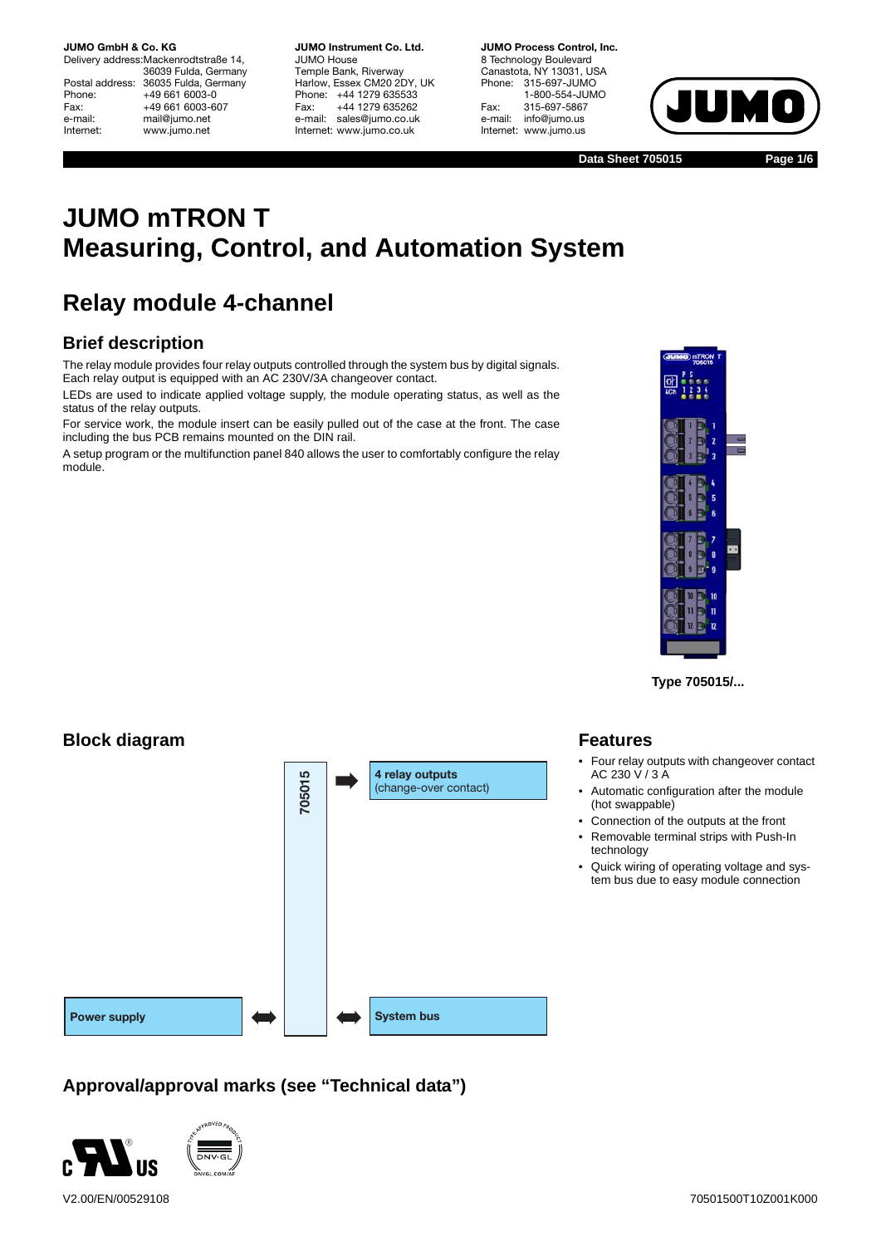Delivery address:Mackenrodtstraße 14, 36039 Fulda, Germany Postal address: 36035 Fulda, Germany<br>Phone: +49 661 6003-0 Phone: +49 661 6003-0<br>Fax: +49 661 6003-6 Fax: +49 661 6003-607<br>e-mail: mail@iumo.net mail@jumo.net Internet: www.jumo.net

**JUMO Instrument Co. Ltd.** JUMO House Temple Bank, Riverway Harlow, Essex CM20 2DY, UK Phone: +44 1279 635533 Fax: +44 1279 635262 e-mail: sales@jumo.co.uk Internet: www.jumo.co.uk

**JUMO Process Control, Inc.** 8 Technology Boulevard Canastota, NY 13031, USA<br>Phone: 315-697-JUMO Phone: 315-697-JUMO 1-800-554-JUMO Fax: 315-697-5867<br>e-mail: info@iumo.us info@jumo.us Internet: www.jumo.us



**Data Sheet 705015**

**Page 1/6**

# **JUMO mTRON T Measuring, Control, and Automation System**

# **Relay module 4-channel**

### **Brief description**

The relay module provides four relay outputs controlled through the system bus by digital signals. Each relay output is equipped with an AC 230V/3A changeover contact.

LEDs are used to indicate applied voltage supply, the module operating status, as well as the status of the relay outputs.

For service work, the module insert can be easily pulled out of the case at the front. The case including the bus PCB remains mounted on the DIN rail.

A setup program or the multifunction panel 840 allows the user to comfortably configure the relay module.



**Type 705015/...**

### **Block diagram**



### **Approval/approval marks (see "Technical data")**



### **Features**

- Four relay outputs with changeover contact AC 230 V / 3 A
- Automatic configuration after the module (hot swappable)
- Connection of the outputs at the front
- Removable terminal strips with Push-In technology
- Quick wiring of operating voltage and system bus due to easy module connection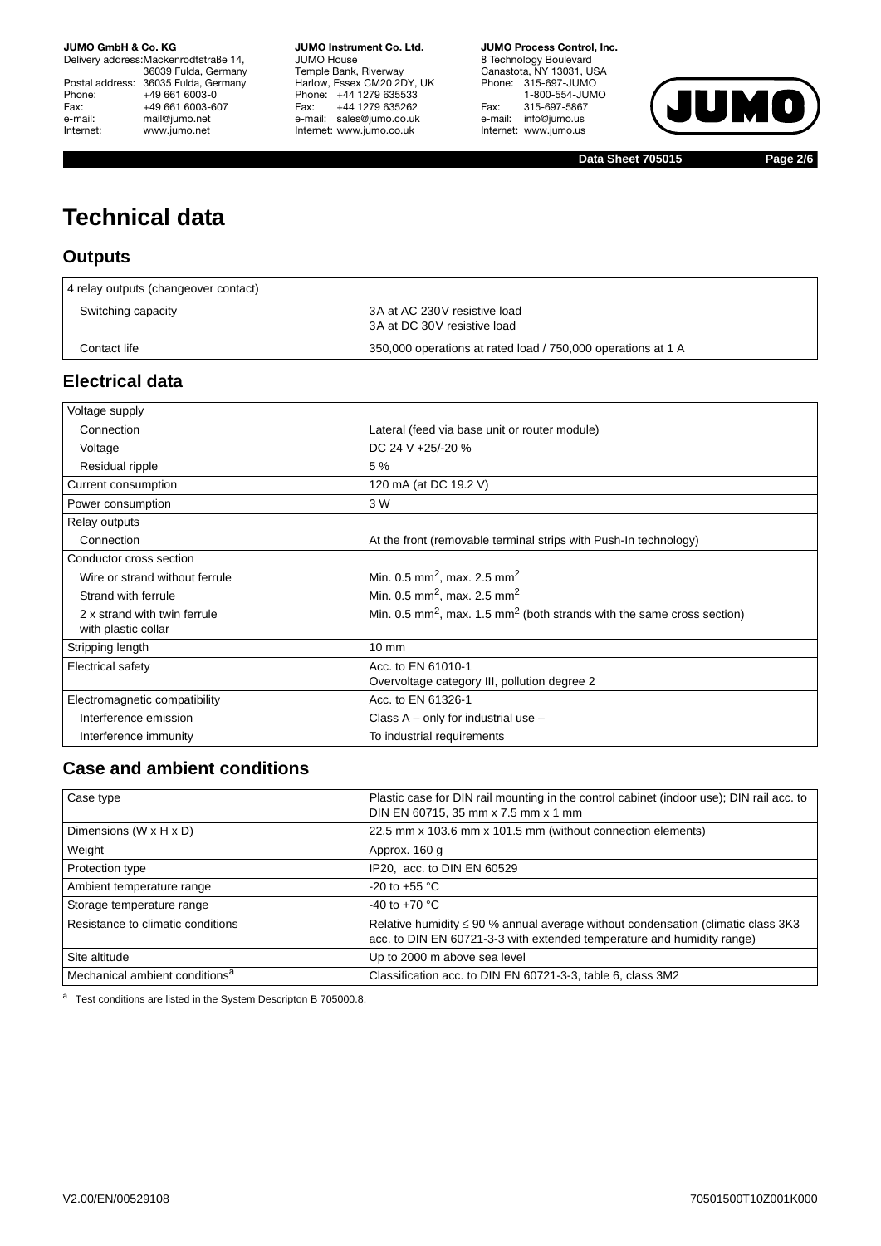Delivery address:Mackenrodtstraße 14, 36039 Fulda, Germany Postal address: 36035 Fulda, Germany Phone: +49 661 6003-0<br>Fax: +49 661 6003-60 Fax: +49 661 6003-607<br>e-mail: mail@jumo.net e-mail: mail@jumo.net<br>| nternet: www.iumo.net www.jumo.net

**JUMO Instrument Co. Ltd.** JUMO House Temple Bank, Riverway Harlow, Essex CM20 2DY, UK Phone: +44 1279 635533 Fax: +44 1279 635262 e-mail: sales@jumo.co.uk Internet: www.jumo.co.uk

**JUMO Process Control, Inc.** 8 Technology Boulevard Canastota, NY 13031, USA Phone: 315-697-JUMO 1-800-554-JUMO Fax: 315-697-5867 e-mail: info@jumo.us Internet: www.jumo.us



**Data Sheet 705015 Page 2/6**

# **Technical data**

### **Outputs**

| 4 relay outputs (changeover contact) |                                                              |
|--------------------------------------|--------------------------------------------------------------|
| Switching capacity                   | 3A at AC 230V resistive load<br>3A at DC 30V resistive load  |
| Contact life                         | 350,000 operations at rated load / 750,000 operations at 1 A |

### **Electrical data**

| Voltage supply                 |                                                                                                |
|--------------------------------|------------------------------------------------------------------------------------------------|
| Connection                     | Lateral (feed via base unit or router module)                                                  |
| Voltage                        | DC 24 V +25/-20 %                                                                              |
| Residual ripple                | 5 %                                                                                            |
| Current consumption            | 120 mA (at DC 19.2 V)                                                                          |
| Power consumption              | 3 W                                                                                            |
| Relay outputs                  |                                                                                                |
| Connection                     | At the front (removable terminal strips with Push-In technology)                               |
| Conductor cross section        |                                                                                                |
| Wire or strand without ferrule | Min. 0.5 mm <sup>2</sup> , max. 2.5 mm <sup>2</sup>                                            |
| Strand with ferrule            | Min. 0.5 mm <sup>2</sup> , max. 2.5 mm <sup>2</sup>                                            |
| 2 x strand with twin ferrule   | Min. 0.5 mm <sup>2</sup> , max. 1.5 mm <sup>2</sup> (both strands with the same cross section) |
| with plastic collar            |                                                                                                |
| Stripping length               | $10 \text{ mm}$                                                                                |
| Electrical safety              | Acc. to EN 61010-1                                                                             |
|                                | Overvoltage category III, pollution degree 2                                                   |
| Electromagnetic compatibility  | Acc. to EN 61326-1                                                                             |
| Interference emission          | Class $A - only$ for industrial use $-$                                                        |
| Interference immunity          | To industrial requirements                                                                     |

### **Case and ambient conditions**

| Case type                                  | Plastic case for DIN rail mounting in the control cabinet (indoor use); DIN rail acc. to<br>DIN EN 60715, 35 mm x 7.5 mm x 1 mm                                 |
|--------------------------------------------|-----------------------------------------------------------------------------------------------------------------------------------------------------------------|
| Dimensions (W $\times$ H $\times$ D)       | 22.5 mm x 103.6 mm x 101.5 mm (without connection elements)                                                                                                     |
| Weight                                     | Approx. 160 g                                                                                                                                                   |
| Protection type                            | IP20, acc. to DIN EN 60529                                                                                                                                      |
| Ambient temperature range                  | $-20$ to $+55$ °C                                                                                                                                               |
| Storage temperature range                  | -40 to +70 $^{\circ}$ C                                                                                                                                         |
| Resistance to climatic conditions          | Relative humidity $\leq$ 90 % annual average without condensation (climatic class 3K3<br>acc. to DIN EN 60721-3-3 with extended temperature and humidity range) |
| Site altitude                              | Up to 2000 m above sea level                                                                                                                                    |
| Mechanical ambient conditions <sup>a</sup> | Classification acc. to DIN EN 60721-3-3, table 6, class 3M2                                                                                                     |

a Test conditions are listed in the System Descripton B 705000.8.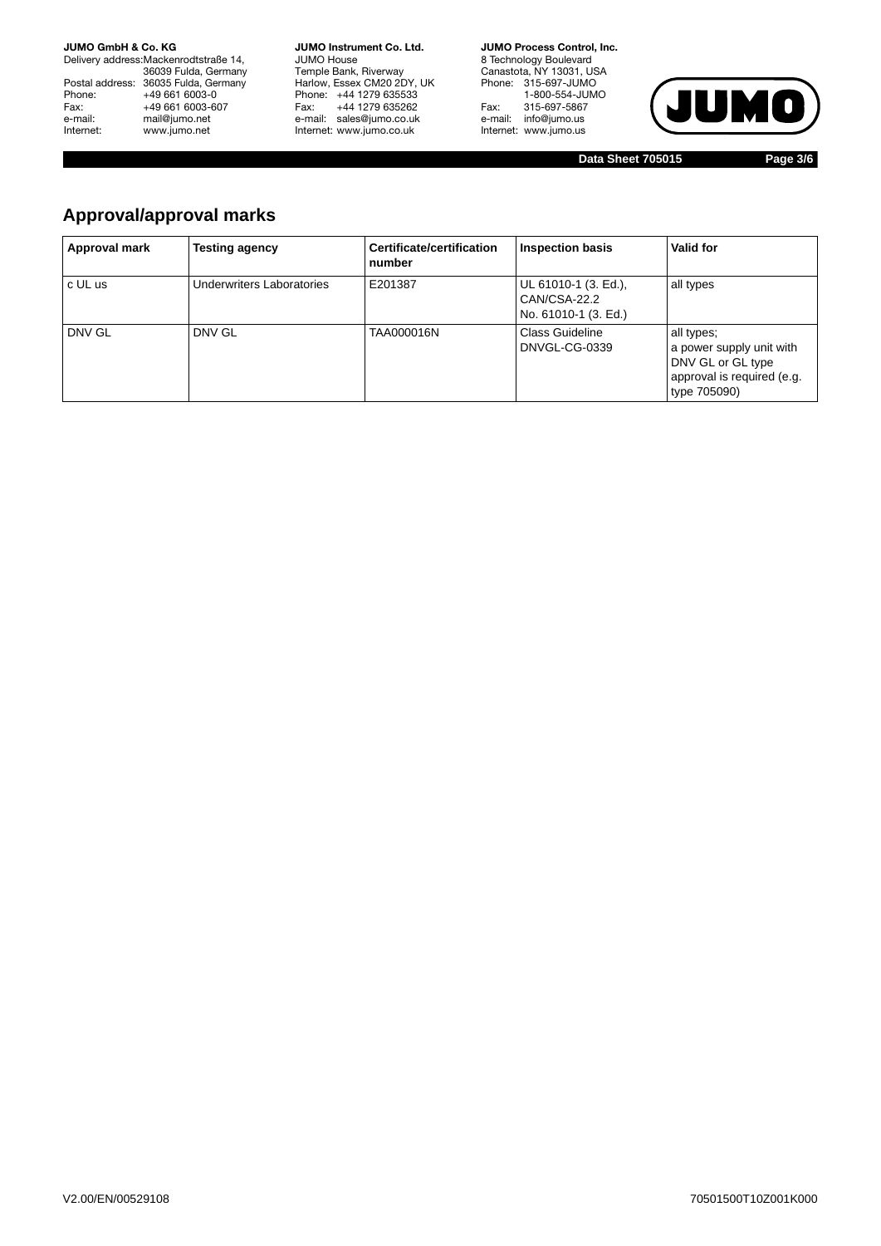Delivery address:Mackenrodtstraße 14, 36039 Fulda, Germany Postal address: 36035 Fulda, Germany Phone: +49 661 6003-0<br>Fax: +49 661 6003-60 Fax: +49 661 6003-607<br>e-mail: mail@jumo.net e-mail: mail@jumo.net<br>| Internet: www.jumo.net www.jumo.net

**JUMO Instrument Co. Ltd.** JUMO House Temple Bank, Riverway Harlow, Essex CM20 2DY, UK Phone: +44 1279 635533 Fax: +44 1279 635262 e-mail: sales@jumo.co.uk Internet: www.jumo.co.uk

**JUMO Process Control, Inc.** 8 Technology Boulevard Canastota, NY 13031, USA Phone: 315-697-JUMO 1-800-554-JUMO Fax: 315-697-5867 e-mail: info@jumo.us Internet: www.jumo.us



**Data Sheet 705015 Page 3/6**

### **Approval/approval marks**

| Approval mark | Testing agency            | Certificate/certification<br>number | <b>Inspection basis</b>                                      | Valid for                                                                                                 |
|---------------|---------------------------|-------------------------------------|--------------------------------------------------------------|-----------------------------------------------------------------------------------------------------------|
| c UL us       | Underwriters Laboratories | E201387                             | UL 61010-1 (3. Ed.),<br>CAN/CSA-22.2<br>No. 61010-1 (3. Ed.) | all types                                                                                                 |
| DNV GL        | DNV GL                    | TAA000016N                          | Class Guideline<br>DNVGL-CG-0339                             | all types;<br>a power supply unit with<br>DNV GL or GL type<br>approval is required (e.g.<br>type 705090) |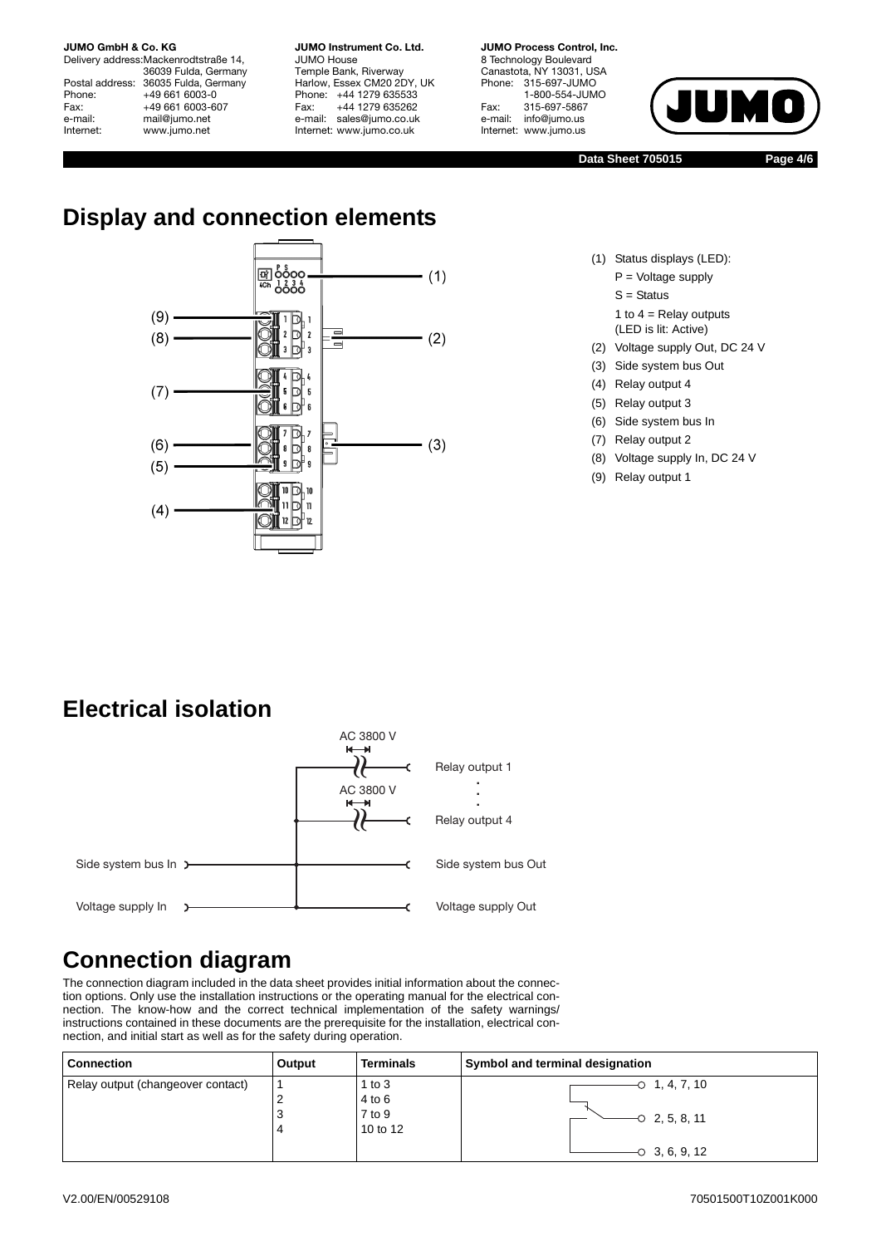Delivery address:Mackenrodtstraße 14, 36039 Fulda, Germany Postal address: 36035 Fulda, Germany<br>Phone: +49 661 6003-0 Phone: +49 661 6003-0<br>Fax: +49 661 6003-6 Fax: +49 661 6003-607<br>e-mail: mail@iumo.net mail@jumo.net Internet: www.jumo.net

**JUMO Instrument Co. Ltd.** JUMO House Temple Bank, Riverway Harlow, Essex CM20 2DY, UK Phone: +44 1279 635533<br>Fax: +44 1279 635262 +44 1279 635262 e-mail: sales@jumo.co.uk Internet: www.jumo.co.uk

**JUMO Process Control, Inc.** 8 Technology Boulevard Canastota, NY 13031, USA<br>Phone: 315-697-JUMO Phone: 315-697-JUMO 1-800-554-JUMO Fax: 315-697-5867<br>e-mail: info@jumo.us info@jumo.us Internet: www.jumo.us



**Data Sheet 705015 Page 4/6**

# **Display and connection elements**



- (1) Status displays (LED):
	- P = Voltage supply
	- $S =$  Status

1 to  $4$  = Relay outputs (LED is lit: Active)

- (2) Voltage supply Out, DC 24 V
- (3) Side system bus Out
- (4) Relay output 4
- (5) Relay output 3
- (6) Side system bus In
- (7) Relay output 2
- (8) Voltage supply In, DC 24 V
- (9) Relay output 1

# **Electrical isolation**



# **Connection diagram**

The connection diagram included in the data sheet provides initial information about the connection options. Only use the installation instructions or the operating manual for the electrical connection. The know-how and the correct technical implementation of the safety warnings/ instructions contained in these documents are the prerequisite for the installation, electrical connection, and initial start as well as for the safety during operation.

| <b>Connection</b>                 | Output | <b>Terminals</b> | Symbol and terminal designation |
|-----------------------------------|--------|------------------|---------------------------------|
| Relay output (changeover contact) |        | 1 to $3$         | $-0$ 1, 4, 7, 10                |
|                                   | ∼      | 4 to 6           |                                 |
|                                   | رب     | 7 to 9           | $-0$ 2, 5, 8, 11                |
|                                   |        | 10 to 12         |                                 |
|                                   |        |                  | $-0$ 3, 6, 9, 12                |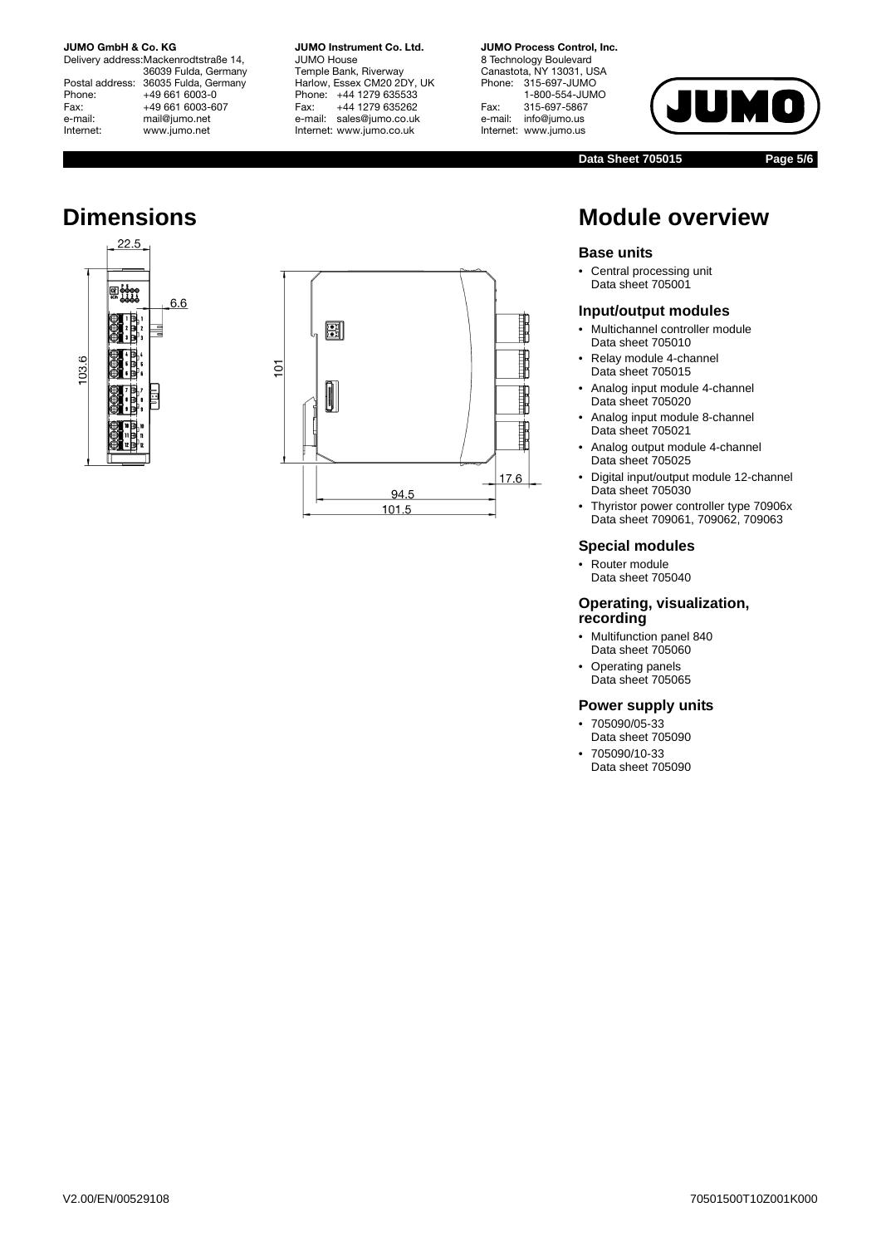Delivery address:Mackenrodtstraße 14, 36039 Fulda, Germany Postal address: 36035 Fulda, Germany Phone: +49 661 6003-0<br>Fax: +49 661 6003-6 Fax: +49 661 6003-607<br>e-mail: mail@iumo.net mail@jumo.net Internet: www.jumo.net





**JUMO Instrument Co. Ltd.**

JUMO House Temple Bank, Riverway Harlow, Essex CM20 2DY, UK Phone: +44 1279 635533<br>Fax: +44 1279 635262 +44 1279 635262 e-mail: sales@jumo.co.uk Internet: www.jumo.co.uk

#### **JUMO Process Control, Inc.** 8 Technology Boulevard Canastota, NY 13031, USA<br>Phone: 315-697-JUMO Phone: 315-697-JUMO 1-800-554-JUMO Fax: 315-697-5867 info@jumo.us Internet: www.jumo.us

JUM

**Data Sheet 705015 Page 5/6**

 $\bullet$ 

### **Dimensions Dimensions Module overview**

#### **Base units**

• Central processing unit Data sheet 705001

#### **Input/output modules**

- Multichannel controller module Data sheet 705010
- Relay module 4-channel Data sheet 705015
- Analog input module 4-channel Data sheet 705020
- Analog input module 8-channel Data sheet 705021
- Analog output module 4-channel Data sheet 705025
- Digital input/output module 12-channel Data sheet 705030
- Thyristor power controller type 70906x Data sheet 709061, 709062, 709063

#### **Special modules**

• Router module Data sheet 705040

#### **Operating, visualization, recording**

- Multifunction panel 840 Data sheet 705060
- Operating panels Data sheet 705065

#### **Power supply units**

- 705090/05-33 Data sheet 705090
- 705090/10-33 Data sheet 705090